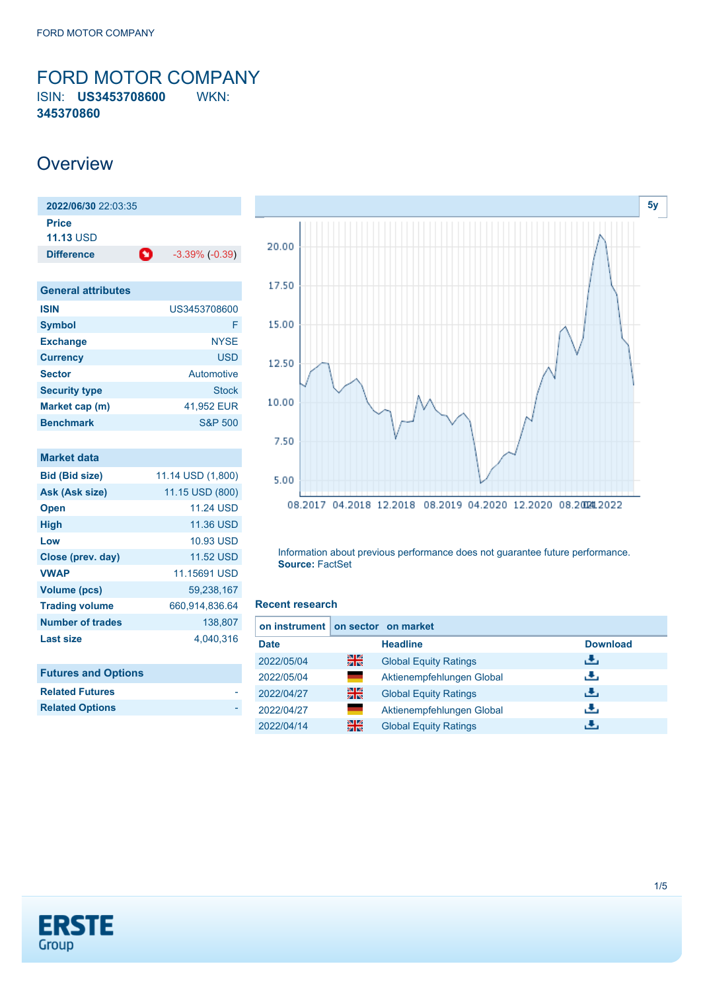<span id="page-0-0"></span>FORD MOTOR COMPANY ISIN: **US3453708600** WKN: **345370860**

### **Overview**

| 2022/06/30 22:03:35              |   |                     |
|----------------------------------|---|---------------------|
| <b>Price</b><br><b>11.13 USD</b> |   |                     |
| <b>Difference</b>                | O | $-3.39\%$ $(-0.39)$ |

| <b>General attributes</b> |                    |
|---------------------------|--------------------|
| <b>ISIN</b>               | US3453708600       |
| <b>Symbol</b>             | F                  |
| <b>Exchange</b>           | <b>NYSE</b>        |
| <b>Currency</b>           | USD                |
| <b>Sector</b>             | Automotive         |
| <b>Security type</b>      | Stock              |
| Market cap (m)            | 41,952 EUR         |
| <b>Benchmark</b>          | <b>S&amp;P 500</b> |

| Market data             |                   |
|-------------------------|-------------------|
| <b>Bid (Bid size)</b>   | 11.14 USD (1,800) |
| Ask (Ask size)          | 11.15 USD (800)   |
| <b>Open</b>             | 11.24 USD         |
| <b>High</b>             | 11.36 USD         |
| Low                     | 10.93 USD         |
| Close (prev. day)       | <b>11.52 USD</b>  |
| <b>VWAP</b>             | 11.15691 USD      |
| Volume (pcs)            | 59,238,167        |
| <b>Trading volume</b>   | 660.914.836.64    |
| <b>Number of trades</b> | 138,807           |
| <b>Last size</b>        | 4.040.316         |
|                         |                   |
|                         |                   |

| <b>Futures and Options</b> |  |
|----------------------------|--|
| <b>Related Futures</b>     |  |
| <b>Related Options</b>     |  |



Information about previous performance does not guarantee future performance. **Source:** FactSet

#### **Recent research**

| on instrument |     | on sector on market          |                 |
|---------------|-----|------------------------------|-----------------|
| <b>Date</b>   |     | <b>Headline</b>              | <b>Download</b> |
| 2022/05/04    | 을중  | <b>Global Equity Ratings</b> | ريان            |
| 2022/05/04    | a a | Aktienempfehlungen Global    | æ,              |
| 2022/04/27    | 을중  | <b>Global Equity Ratings</b> | رالى            |
| 2022/04/27    | a a | Aktienempfehlungen Global    | رنان            |
| 2022/04/14    | 噐   | <b>Global Equity Ratings</b> |                 |

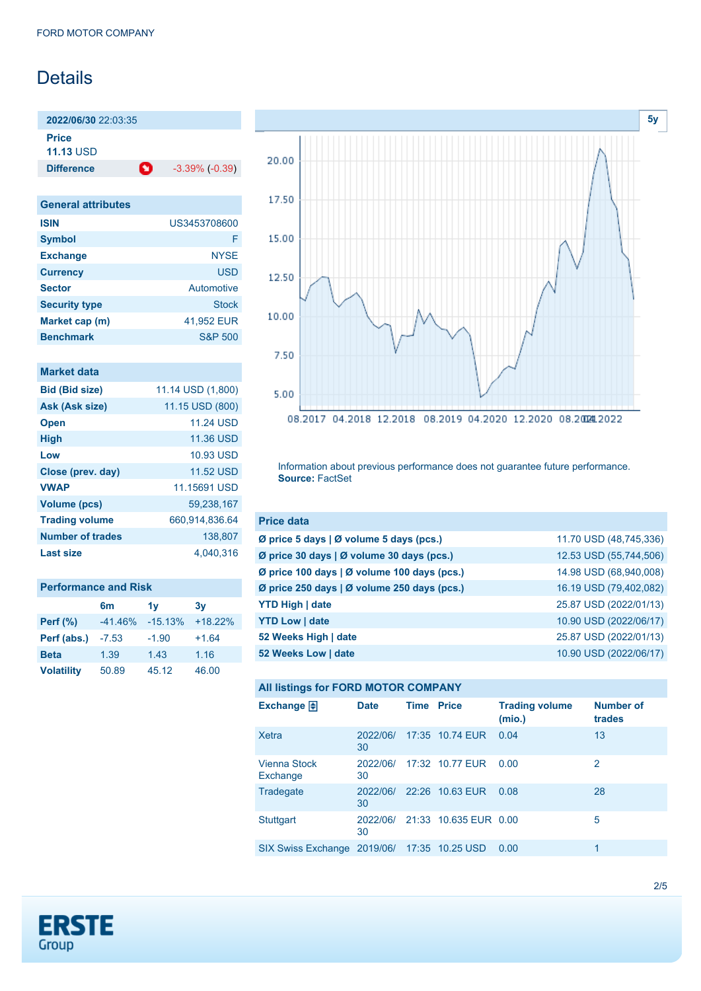## **Details**

**2022/06/30** 22:03:35 **Price**

**11.13** USD

**Difference 1** -3.39% (-0.39)

| <b>General attributes</b> |                    |
|---------------------------|--------------------|
| <b>ISIN</b>               | US3453708600       |
| <b>Symbol</b>             | F                  |
| <b>Exchange</b>           | <b>NYSE</b>        |
| <b>Currency</b>           | <b>USD</b>         |
| <b>Sector</b>             | Automotive         |
| <b>Security type</b>      | Stock              |
| Market cap (m)            | 41,952 EUR         |
| <b>Benchmark</b>          | <b>S&amp;P 500</b> |

| <b>Market data</b> |  |  |
|--------------------|--|--|
|                    |  |  |
|                    |  |  |

| <b>Bid (Bid size)</b> | 11.14 USD (1,800) |
|-----------------------|-------------------|
| Ask (Ask size)        | 11.15 USD (800)   |
| <b>Open</b>           | <b>11.24 USD</b>  |
| <b>High</b>           | <b>11.36 USD</b>  |
| Low                   | 10.93 USD         |
| Close (prev. day)     | <b>11.52 USD</b>  |
| <b>VWAP</b>           | 11.15691 USD      |
| <b>Volume (pcs)</b>   | 59.238.167        |
| <b>Trading volume</b> | 660,914,836.64    |
| Number of trades      | 138.807           |
| Last size             | 4.040.316         |

| <b>Performance and Risk</b> |                            |           |           |  |  |  |  |
|-----------------------------|----------------------------|-----------|-----------|--|--|--|--|
|                             | 6 <sub>m</sub><br>1v<br>3v |           |           |  |  |  |  |
| <b>Perf (%)</b>             | $-41.46%$                  | $-15.13%$ | $+18.22%$ |  |  |  |  |
| Perf (abs.)                 | $-7.53$                    | $-1.90$   | $+1.64$   |  |  |  |  |
| <b>Beta</b>                 | 1.39                       | 1.43      | 1.16      |  |  |  |  |
| <b>Volatility</b>           | 50.89                      | 45.12     | 46.00     |  |  |  |  |



Information about previous performance does not guarantee future performance. **Source:** FactSet

| <b>Price data</b>                             |                        |
|-----------------------------------------------|------------------------|
| Ø price 5 days $\vert$ Ø volume 5 days (pcs.) | 11.70 USD (48,745,336) |
| Ø price 30 days   Ø volume 30 days (pcs.)     | 12.53 USD (55,744,506) |
| Ø price 100 days   Ø volume 100 days (pcs.)   | 14.98 USD (68,940,008) |
| Ø price 250 days   Ø volume 250 days (pcs.)   | 16.19 USD (79,402,082) |
| <b>YTD High   date</b>                        | 25.87 USD (2022/01/13) |
| <b>YTD Low   date</b>                         | 10.90 USD (2022/06/17) |
| 52 Weeks High   date                          | 25.87 USD (2022/01/13) |
| 52 Weeks Low   date                           | 10.90 USD (2022/06/17) |

### **All listings for FORD MOTOR COMPANY**

| Exchange $\Box$                             | <b>Date</b>    | <b>Time Price</b> |                       | <b>Trading volume</b><br>(mio.) | <b>Number of</b><br>trades |
|---------------------------------------------|----------------|-------------------|-----------------------|---------------------------------|----------------------------|
| Xetra                                       | 2022/06/<br>30 |                   | 17:35 10.74 EUR       | 0.04                            | 13                         |
| Vienna Stock<br>Exchange                    | 2022/06/<br>30 |                   | 17:32 10.77 EUR       | 0.00                            | 2                          |
| Tradegate                                   | 2022/06/<br>30 |                   | 22:26 10.63 EUR       | 0.08                            | 28                         |
| <b>Stuttgart</b>                            | 2022/06/<br>30 |                   | 21:33 10.635 EUR 0.00 |                                 | 5                          |
| SIX Swiss Exchange 2019/06/ 17:35 10.25 USD |                |                   |                       | 0.00                            |                            |

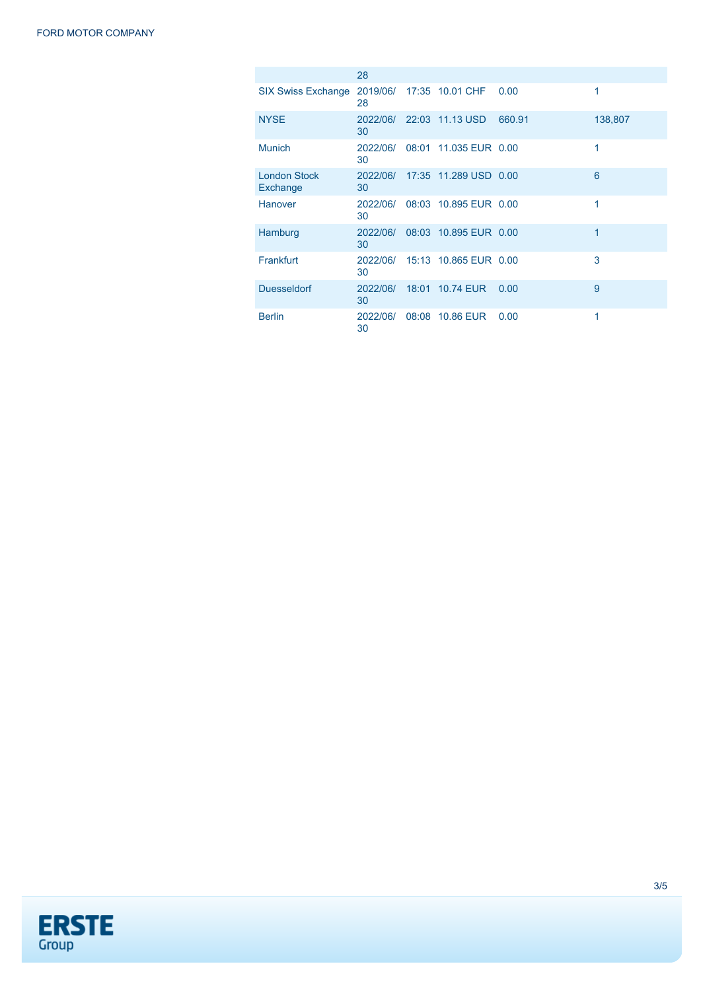|                                 | 28             |                                |        |         |
|---------------------------------|----------------|--------------------------------|--------|---------|
| <b>SIX Swiss Exchange</b>       | 28             | 2019/06/ 17:35 10.01 CHF       | 0.00   | 1       |
| <b>NYSE</b>                     | 30             | 2022/06/ 22:03 11.13 USD       | 660.91 | 138,807 |
| <b>Munich</b>                   | 2022/06/<br>30 | 08:01 11.035 EUR 0.00          |        | 1       |
| <b>London Stock</b><br>Exchange | 30             | 2022/06/ 17:35 11.289 USD 0.00 |        | 6       |
| Hanover                         | 2022/06/<br>30 | 08:03 10.895 EUR 0.00          |        | 1       |
| Hamburg                         | 2022/06/<br>30 | 08:03 10.895 EUR 0.00          |        | 1       |
| Frankfurt                       | 2022/06/<br>30 | 15:13 10.865 EUR 0.00          |        | 3       |
| <b>Duesseldorf</b>              | 2022/06/<br>30 | 18:01 10.74 EUR                | 0.00   | 9       |
| <b>Berlin</b>                   | 2022/06/<br>30 | 08:08 10.86 EUR                | 0.00   | 1       |

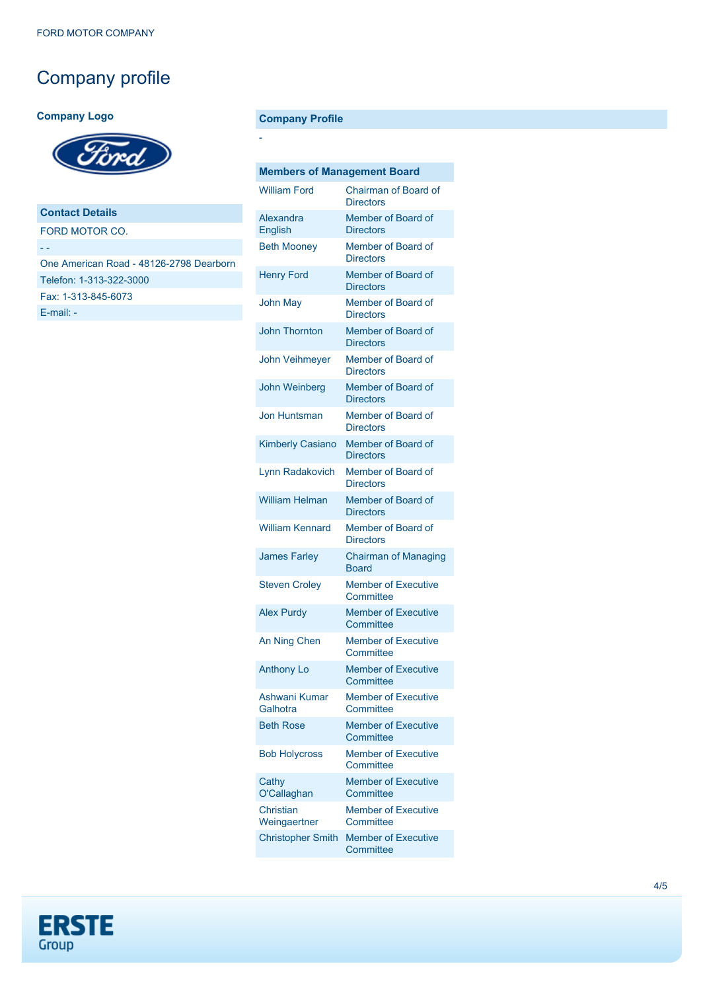# Company profile

### **Company Logo**



### **Contact Details**

FORD MOTOR CO.

- -

| One American Road - 48126-2798 Dearborn |
|-----------------------------------------|
| Telefon: 1-313-322-3000                 |
| Fax: 1-313-845-6073                     |
| $E$ -mail: $-$                          |

### **Company Profile**

-

| <b>Members of Management Board</b> |                                             |
|------------------------------------|---------------------------------------------|
| <b>William Ford</b>                | Chairman of Board of<br><b>Directors</b>    |
| Alexandra<br>English               | Member of Board of<br><b>Directors</b>      |
| <b>Beth Mooney</b>                 | Member of Board of<br><b>Directors</b>      |
| <b>Henry Ford</b>                  | Member of Board of<br><b>Directors</b>      |
| <b>John May</b>                    | Member of Board of<br><b>Directors</b>      |
| <b>John Thornton</b>               | Member of Board of<br><b>Directors</b>      |
| <b>John Veihmeyer</b>              | Member of Board of<br><b>Directors</b>      |
| <b>John Weinberg</b>               | Member of Board of<br><b>Directors</b>      |
| <b>Jon Huntsman</b>                | Member of Board of<br><b>Directors</b>      |
| <b>Kimberly Casiano</b>            | Member of Board of<br><b>Directors</b>      |
| Lynn Radakovich                    | Member of Board of<br><b>Directors</b>      |
| <b>William Helman</b>              | Member of Board of<br><b>Directors</b>      |
| <b>William Kennard</b>             | Member of Board of<br><b>Directors</b>      |
| <b>James Farley</b>                | <b>Chairman of Managing</b><br><b>Board</b> |
| <b>Steven Croley</b>               | <b>Member of Executive</b><br>Committee     |
| <b>Alex Purdy</b>                  | <b>Member of Executive</b><br>Committee     |
| An Ning Chen                       | <b>Member of Executive</b><br>Committee     |
| <b>Anthony Lo</b>                  | <b>Member of Executive</b><br>Committee     |
| Ashwani Kumar<br>Galhotra          | Member of Executive<br>Committee            |
| <b>Beth Rose</b>                   | <b>Member of Executive</b><br>Committee     |
| <b>Bob Holycross</b>               | <b>Member of Executive</b><br>Committee     |
| Cathy<br>O'Callaghan               | <b>Member of Executive</b><br>Committee     |
| Christian<br>Weingaertner          | <b>Member of Executive</b><br>Committee     |
| <b>Christopher Smith</b>           | <b>Member of Executive</b><br>Committee     |